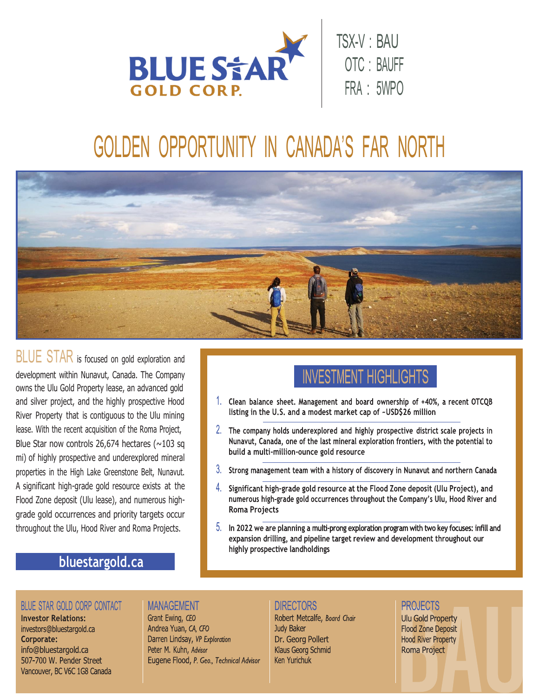

# GOLDEN OPPORTUNITY IN CANADA'S FAR NORTH



BLUE STAR is focused on gold exploration and development within Nunavut, Canada. The Company owns the Ulu Gold Property lease, an advanced gold and silver project, and the highly prospective Hood River Property that is contiguous to the Ulu mining lease. With the recent acquisition of the Roma Project, Blue Star now controls 26,674 hectares ( $\sim$ 103 sq mi) of highly prospective and underexplored mineral properties in the High Lake Greenstone Belt, Nunavut. A significant high-grade gold resource exists at the Flood Zone deposit (Ulu lease), and numerous highgrade gold occurrences and priority targets occur throughout the Ulu, Hood River and Roma Projects.

## **INVESTMENT HIGHLIGHTS**

- 1. Clean balance sheet. Management and board ownership of +40%, a recent OTCQB listing in the U.S. and a modest market cap of ~USD\$26 million
- 2. The company holds underexplored and highly prospective district scale projects in Nunavut, Canada, one of the last mineral exploration frontiers, with the potential to build a multi-million-ounce gold resource
- $3.$  Strong management team with a history of discovery in Nunavut and northern Canada
- Significant high-grade gold resource at the Flood Zone deposit (Ulu Project), and numerous high-grade gold occurrences throughout the Company's Ulu, Hood River and **Roma Projects**
- $5.$  In 2022 we are planning a multi-prong exploration program with two key focuses: infill and expansion drilling, and pipeline target review and development throughout our highly prospective landholdings

### bluestargold.ca

### **BLUE STAR GOLD CORP CONTACT**

**Investor Relations:** investors@bluestargold.ca Corporate: info@bluestargold.ca 507-700 W. Pender Street Vancouver, BC V6C 1G8 Canada

#### **MANAGEMENT**

Grant Ewing, CEO Andrea Yuan, CA, CFO Darren Lindsay, VP Exploration Peter M. Kuhn, Advisor Eugene Flood, P. Geo., Technical Advisor

#### **DIRECTORS**

Robert Metcalfe, Board Chair Judy Baker Dr. Georg Pollert Klaus Georg Schmid **Ken Yurichuk** 

#### **PROJECTS**

**Ulu Gold Property Flood Zone Deposit Hood River Property** Roma Project